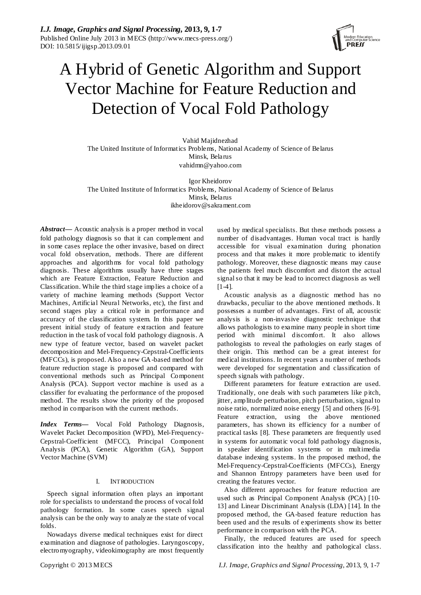

# A Hybrid of Genetic Algorithm and Support Vector Machine for Feature Reduction and Detection of Vocal Fold Pathology

Vahid Majidnezhad The United Institute of Informatics Problems, National Academy of Science of Belarus Minsk, Belarus [vahidmn@yahoo.com](mailto:vahidmn@yahoo.com)

Igor Kheidorov The United Institute of Informatics Problems, National Academy of Science of Belarus Minsk, Belarus [ikheidorov@sakrament.com](mailto:ikheidorov@sakrament.com)

*Abstract***—** Acoustic analysis is a proper method in vocal fold pathology diagnosis so that it can complement and in some cases replace the other invasive, based on direct vocal fold observation, methods. There are different approaches and algorithms for vocal fold pathology diagnosis. These algorithms usually have three stages which are Feature Extraction, Feature Reduction and Classification. While the third stage implies a choice of a variety of machine learning methods (Support Vector Machines, Artificial Neural Networks, etc), the first and second stages play a critical role in performance and accuracy of the classification system. In this paper we present initial study of feature extraction and feature reduction in the task of vocal fold pathology diagnosis. A new type of feature vector, based on wavelet packet decomposition and Mel-Frequency-Cepstral-Coefficients (MFCCs), is proposed. Also a new GA-based method for feature reduction stage is proposed and compared with conventional methods such as Principal Component Analysis (PCA). Support vector machine is used as a classifier for evaluating the performance of the proposed method. The results show the priority of the proposed method in comparison with the current methods.

*Index Terms—* Vocal Fold Pathology Diagnosis, Wavelet Packet Decomposition (WPD), Mel-Frequency-Cepstral-Coefficient (MFCC), Principal Component Analysis (PCA), Genetic Algorithm (GA), Support Vector Machine (SVM)

# I. INTRODUCTION

Speech signal information often plays an important role for specialists to understand the process of vocal fold pathology formation. In some cases speech signal analysis can be the only way to analyze the state of vocal folds.

Nowadays diverse medical techniques exist for direct examination and diagnose of pathologies. Laryngoscopy, electromyography, videokimography are most frequently

used by medical specialists. But these methods possess a number of disadvantages. Human vocal tract is hardly accessible for visual examination during phonation process and that makes it more problematic to identify pathology. Moreover, these diagnostic means may cause the patients feel much discomfort and distort the actual signal so that it may be lead to incorrect diagnosis as well [1-4].

Acoustic analysis as a diagnostic method has no drawbacks, peculiar to the above mentioned methods. It possesses a number of advantages. First of all, acoustic analysis is a non-invasive diagnostic technique that allows pathologists to examine many people in short time period with minimal discomfort. It also allows pathologists to reveal the pathologies on early stages of their origin. This method can be a great interest for medical institutions. In recent years a number of methods were developed for segmentation and classification of speech signals with pathology.

Different parameters for feature extraction are used. Traditionally, one deals with such parameters like pitch, jitter, amplitude perturbation, pitch perturbation, signal to noise ratio, normalized noise energy [5] and others [6-9]. Feature extraction, using the above mentioned parameters, has shown its efficiency for a number of practical tasks [8]. These parameters are frequently used in systems for automatic vocal fold pathology diagnosis, in speaker identification systems or in multimedia database indexing systems. In the proposed method, the Mel-Frequency-Cepstral-Coefficients (MFCCs), Energy and Shannon Entropy parameters have been used for creating the features vector.

Also different approaches for feature reduction are used such as Principal Component Analysis (PCA) [10- 13] and Linear Discriminant Analysis (LDA) [14]. In the proposed method, the GA-based feature reduction has been used and the results of experiments show its better performance in comparison with the PCA.

Finally, the reduced features are used for speech classification into the healthy and pathological class.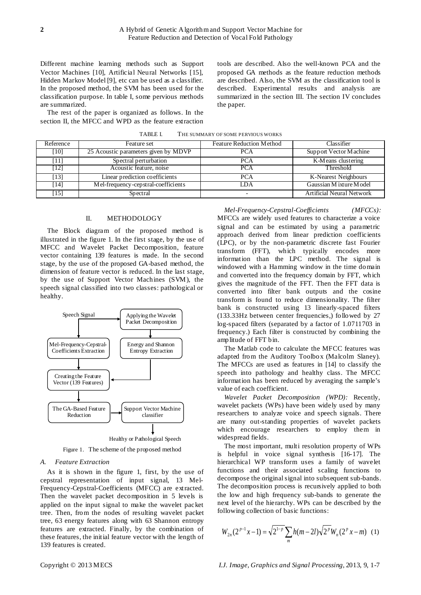Different machine learning methods such as Support Vector Machines [10], Artificial Neural Networks [15], Hidden Markov Model [9], etc can be used as a classifier. In the proposed method, the SVM has been used for the classification purpose. In table I, some pervious methods are summarized.

The rest of the paper is organized as follows. In the section II, the MFCC and WPD as the feature extraction

tools are described. Also the well-known PCA and the proposed GA methods as the feature reduction methods are described. Also, the SVM as the classification tool is described. Experimental results and analysis are summarized in the section III. The section IV concludes the paper.

| TABLE I. | THE SUMMARY OF SOME PERVIOUS WORKS |  |
|----------|------------------------------------|--|
|          |                                    |  |

| Reference | Feature set                          | <b>Feature Reduction Method</b> | Classifier                       |
|-----------|--------------------------------------|---------------------------------|----------------------------------|
| [10]      | 25 Acoustic parameters given by MDVP | <b>PCA</b>                      | Support Vector Machine           |
| [11]      | Spectral perturbation                | <b>PCA</b>                      | K-Means clustering               |
| [12]      | Acoustic feature, noise              | <b>PCA</b>                      | Threshold                        |
| [13]      | Linear prediction coefficients       | <b>PCA</b>                      | K-Nearest Neighbours             |
| [14]      | Mel-frequency-cepstral-coefficients  | I DA                            | Gaussian M ixture Model          |
| [15]      | Spectral                             | $\overline{\phantom{0}}$        | <b>Artificial Neural Network</b> |

#### II. METHODOLOGY

The Block diagram of the proposed method is illustrated in the figure 1. In the first stage, by the use of MFCC and Wavelet Packet Decomposition, feature vector containing 139 features is made. In the second stage, by the use of the proposed GA-based method, the dimension of feature vector is reduced. In the last stage, by the use of Support Vector Machines (SVM), the speech signal classified into two classes: pathological or healthy.



Healthy or Pathological Speech

Figure 1. The scheme of the proposed method

#### *A. Feature Extraction*

As it is shown in the figure 1, first, by the use of [cepstral](http://en.wikipedia.org/wiki/Cepstrum) representation of input signal, 13 Mel-Frequency-Cepstral-Coefficients (MFCC) are extracted. Then the wavelet packet decomposition in 5 levels is applied on the input signal to make the wavelet packet tree. Then, from the nodes of resulting wavelet packet tree, 63 energy features along with 63 Shannon entropy features are extracted. Finally, by the combination of these features, the initial feature vector with the length of 139 features is created.

*Mel-Frequency-Cepstral-Coefficients (MFCCs):* MFCCs are widely used features to characterize a voice signal and can be estimated by using a parametric approach derived from linear prediction coefficients (LPC), or by the non-parametric discrete fast Fourier transform (FFT), which typically encodes more information than the LPC method. The signal is windowed with a Hamming window in the time domain and converted into the frequency domain by FFT, which gives the magnitude of the FFT. Then the FFT data is converted into filter bank outputs and the cosine transform is found to reduce dimensionality. The filter bank is constructed using 13 linearly-spaced filters (133.33Hz between center frequencies,) followed by 27 log-spaced filters (separated by a factor of 1.0711703 in frequency.) Each filter is constructed by combining the amplitude of FFT bin.

The Matlab code to calculate the MFCC features was adapted from the Auditory Toolbox (Malcolm Slaney). The MFCCs are used as features in [14] to classify the speech into pathology and healthy class. The MFCC information has been reduced by averaging the sample's value of each coefficient.

*Wavelet Packet Decomposition (WPD):* Recently, wavelet packets (WPs) have been widely used by many researchers to analyze voice and speech signals. There are many out-standing properties of wavelet packets which encourage researchers to employ them in widespread fields.

The most important, multi resolution property of WPs is helpful in voice signal synthesis [16-17]. The hierarchical WP transform uses a family of wavelet functions and their associated scaling functions to decompose the original signal into subsequent sub-bands. The decomposition process is recursively applied to both the low and high frequency sub-bands to generate the next level of the hierarchy. WPs can be described by the following collection of basic functions:

$$
W_{2n}(2^{p-1}x-1) = \sqrt{2^{1-p}} \sum_{m} h(m-2l) \sqrt{2^p} W_n(2^p x-m) \quad (1)
$$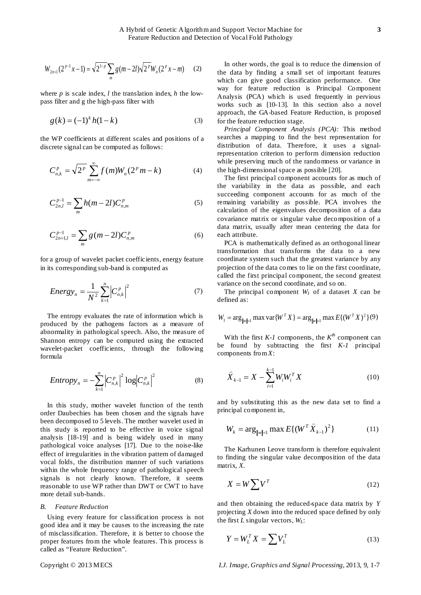$$
W_{2n+1}(2^{p-1}x-1) = \sqrt{2^{1-p}} \sum_{m} g(m-2l) \sqrt{2^{p}} W_{n}(2^{p}x-m)
$$
 (2)

where *p* is scale index, *l* the translation index, *h* the lowpass filter and g the high-pass filter with

$$
g(k) = (-1)^k h(1 - k)
$$
 (3)

the WP coefficients at different scales and positions of a discrete signal can be computed as follows:

$$
C_{n,k}^p = \sqrt{2^p} \sum_{m=-\infty}^{\infty} f(m) W_n(2^p m - k)
$$
 (4)

$$
C_{2n,l}^{p-1} = \sum_{m} h(m-2l) C_{n,m}^p
$$
 (5)

$$
C_{2n+1,l}^{p-1} = \sum_{m} g(m-2l) C_{n,m}^{p}
$$
 (6)

for a group of wavelet packet coefficients, energy feature in its corresponding sub-band is computed as

$$
Energy_n = \frac{1}{N^2} \sum_{k=1}^{n} \left| C_{n,k}^p \right|^2 \tag{7}
$$

The entropy evaluates the rate of information which is produced by the pathogens factors as a measure of abnormality in pathological speech. Also, the measure of Shannon entropy can be computed using the extracted wavelet-packet coefficients, through the following formula

$$
Entropy_n = -\sum_{k=1}^{n} \left| C_{n,k}^p \right|^2 \log \left| C_{n,k}^p \right|^2 \tag{8}
$$

In this study, mother wavelet function of the tenth order Daubechies has been chosen and the signals have been decomposed to 5 levels. The mother wavelet used in this study is reported to be effective in voice signal analysis [18-19] and is being widely used in many pathological voice analyses [17]. Due to the noise-like effect of irregularities in the vibration pattern of damaged vocal folds, the distribution manner of such variations within the whole frequency range of pathological speech signals is not clearly known. Therefore, it seems reasonable to use WP rather than DWT or CWT to have more detail sub-bands.

#### *B. Feature Reduction*

Using every feature for classification process is not good idea and it may be causes to the increasing the rate of misclassification. Therefore, it is better to choose the proper features from the whole features. This process is called as "Feature Reduction".

In other words, the goal is to reduce the dimension of the data by finding a small set of important features which can give good classification performance. One way for feature reduction is Principal Component Analysis (PCA) which is used frequently in pervious works such as [10-13]. In this section also a novel approach, the GA-based Feature Reduction, is proposed for the feature reduction stage.

*Principal Component Analysis (PCA):* This method searches a mapping to find the best representation for distribution of data. Therefore, it uses a signalrepresentation criterion to perform dimension reduction while preserving much of the randomness or variance in the high-dimensional space as possible [20].

The first principal component accounts for as much of the variability in the data as possible, and each succeeding component accounts for as much of the remaining variability as possible. PCA involves the calculation of the eigenvalues decomposition of a data covariance matrix or singular value decomposition of a data matrix, usually after mean centering the data for each attribute.

PCA is mathematically defined as an orthogonal linear transformation that transforms the data to a new coordinate system such that the greatest variance by any projection of the data comes to lie on the first coordinate, called the first principal component, the second greatest variance on the second coordinate, and so on.

The principal component  $W_1$  of a dataset  $X$  can be defined as:

$$
W_1 = \arg_{\|w\|=1} \max \text{var}\{W^T X\} = \arg_{\|w\|=1} \max E\{(W^T X)^2\}(9)
$$

With the first *K-1* components, the *Kth* component can be found by subtracting the first *K-1* principal components from *X*:

$$
\widehat{X}_{k-1} = X - \sum_{i=1}^{k-1} W_i W_i^T X \tag{10}
$$

and by substituting this as the new data set to find a principal component in,

$$
W_k = \arg_{\|w\|=1} \max E\{(W^T \hat{X}_{k-1})^2\}
$$
 (11)

The Karhunen Leove transform is therefore equivalent to finding the singular value decomposition of the data matrix, *X*.

$$
X = W \sum V^T \tag{12}
$$

and then obtaining the reduced-space data matrix by *Y* projecting *X* down into the reduced space defined by only the first *L* singular vectors, *WL*:

$$
Y = W_L^T X = \sum V_L^T \tag{13}
$$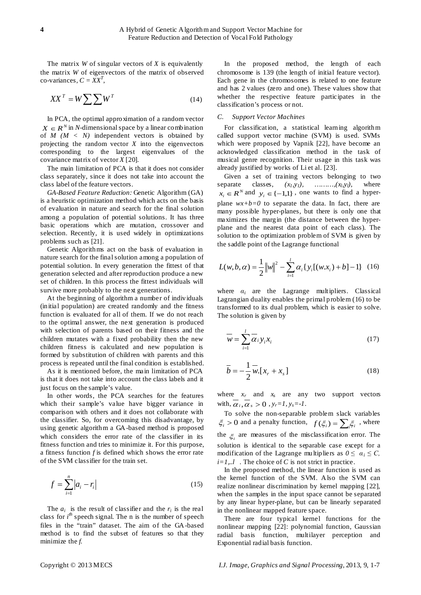The matrix *W* of singular vectors of *X* is equivalently the matrix *W* of eigenvectors of the matrix of observed  $\text{co-variances}, C = \overline{XX}^T$ 

$$
XX^T = W \sum \sum W^T \tag{14}
$$

In PCA, the optimal approximation of a random vector  $X \in \mathbb{R}^N$  in *N*-dimensional space by a linear combination of  $M$  ( $M < N$ ) independent vectors is obtained by projecting the random vector  $X$  into the eigenvectors corresponding to the largest eigenvalues of the covariance matrix of vector *X* [20].

The main limitation of PCA is that it does not consider class separately, since it does not take into account the class label of the feature vectors.

*GA-Based Feature Reduction:* Genetic Algorithm (GA) is a heuristic optimization method which acts on the basis of evaluation in nature and search for the final solution among a population of potential solutions. It has three basic operations which are mutation, crossover and selection. Recently, it is used widely in optimizations problems such as [21].

Genetic Algorithms act on the basis of evaluation in nature search for the final solution among a population of potential solution. In every generation the fittest of that generation selected and after reproduction produce a new set of children. In this process the fittest individuals will survive more probably to the next generations.

At the beginning of algorithm a number of individuals (initial population) are created randomly and the fitness function is evaluated for all of them. If we do not reach to the optimal answer, the next generation is produced with selection of parents based on their fitness and the children mutates with a fixed probability then the new children fitness is calculated and new population is formed by substitution of children with parents and this process is repeated until the final condition is established.

As it is mentioned before, the main limitation of PCA is that it does not take into account the class labels and it just focus on the sample's value.

In other words, the PCA searches for the features which their sample's value have bigger variance in comparison with others and it does not collaborate with the classifier. So, for overcoming this disadvantage, by using genetic algorithm a GA-based method is proposed which considers the error rate of the classifier in its fitness function and tries to minimize it. For this purpose, a fitness function *f* is defined which shows the error rate of the SVM classifier for the train set.

$$
f = \sum_{i=1}^{n} |a_i - r_i|
$$
 (15)

The  $a_i$  is the result of classifier and the  $r_i$  is the real class for  $i^{th}$  speech signal. The n is the number of speech files in the "train" dataset. The aim of the GA-based method is to find the subset of features so that they minimize the *f*.

In the proposed method, the length of each chromosome is 139 (the length of initial feature vector). Each gene in the chromosomes is related to one feature and has 2 values (zero and one). These values show that whether the respective feature participates in the classification's process or not.

### *C. Support Vector Machines*

For classification, a statistical learning algorithm called support vector machine (SVM) is used. SVMs which were proposed by Vapnik [22], have become an acknowledged classification method in the task of musical genre recognition. Their usage in this task was already justified by works of Li et al. [23].

Given a set of training vectors belonging to two separate classes,  $(x_l, y_l)$ , ………,  $(x_l, y_l)$ , where  $x_i \in R^N$  and  $y_i \in \{-1,1\}$ , one wants to find a hyperplane  $wx+b=0$  to separate the data. In fact, there are many possible hyper-planes, but there is only one that maximizes the margin (the distance between the hyperplane and the nearest data point of each class). The solution to the optimization problem of SVM is given by the saddle point of the Lagrange functional

$$
L(w, b, \alpha) = \frac{1}{2} ||w||^2 - \sum_{i=1}^{l} \alpha_i \{ y_i [(w.x_i) + b] - 1 \} (16)
$$

where  $\alpha_i$  are the Lagrange multipliers. Classical Lagrangian duality enables the primal problem (16) to be transformed to its dual problem, which is easier to solve. The solution is given by

$$
\overline{w} = \sum_{i=1}^{l} \overline{\alpha}_{i} y_{i} x_{i} \tag{17}
$$

$$
\overline{b} = -\frac{1}{2}\overline{w} [x_r + x_s]
$$
 (18)

where  $x_r$  and  $x_s$  are any two support vectors with,  $\alpha_i, \alpha_s > 0$ ,  $y_r = 1$ ,  $y_s = -1$ .

To solve the non-separable problem slack variables  $\xi_i > 0$  and a penalty function,  $f(\xi_i) = \sum_i \xi_i$ , where the ξ*<sup>i</sup>* are measures of the misclassification error. The solution is identical to the separable case except for a modification of the Lagrange multipliers as  $0 \leq \alpha_i \leq C$ ,  $i=1...l$  . The choice of *C* is not strict in practice.

In the proposed method, the linear function is used as the kernel function of the SVM. Also the SVM can realize nonlinear discrimination by kernel mapping [22], when the samples in the input space cannot be separated by any linear hyper-plane, but can be linearly separated in the nonlinear mapped feature space.

There are four typical kernel functions for the nonlinear mapping [22]: polynomial function, Gaussian radial basis function, multilayer perception and Exponential radial basis function.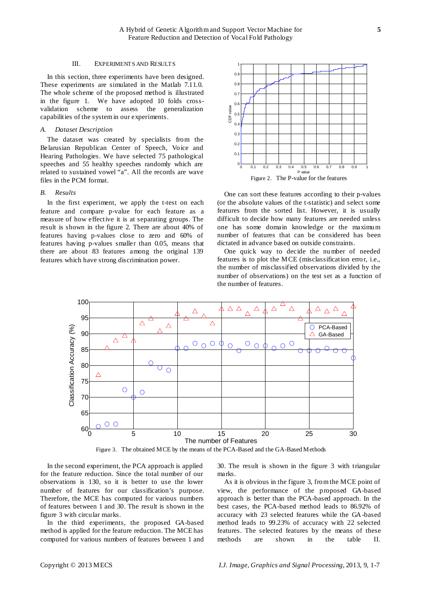#### III. EXPERIMENTS AND RESULTS

In this section, three experiments have been designed. These experiments are simulated in the Matlab 7.11.0. The whole scheme of the proposed method is illustrated in the figure 1. We have adopted 10 folds crossvalidation scheme to assess the generalization capabilities of the system in our experiments.

#### *A. Dataset Description*

The dataset was created by specialists from the Belarusian Republican Center of Speech, Voice and Hearing Pathologies. We have selected 75 pathological speeches and 55 healthy speeches randomly which are related to sustained vowel "a". All the records are wave files in the PCM format.

#### *B. Results*

In the first experiment, we apply the t-test on each feature and compare p-value for each feature as a measure of how effective it is at separating groups. The result is shown in the figure 2. There are about 40% of features having p-values close to zero and 60% of features having p-values smaller than 0.05, means that there are about 83 features among the original 139 features which have strong discrimination power.



One can sort these features according to their p-values (or the absolute values of the t-statistic) and select some features from the sorted list. However, it is usually difficult to decide how many features are needed unless one has some domain knowledge or the maximum number of features that can be considered has been dictated in advance based on outside constraints.

One quick way to decide the number of needed features is to plot the MCE (misclassification error, i.e., the number of misclassified observations divided by the number of observations) on the test set as a function of the number of features.



Figure 3. The obtained MCE by the means of the PCA-Based and the GA-Based Methods

In the second experiment, the PCA approach is applied for the feature reduction. Since the total number of our observations is 130, so it is better to use the lower number of features for our classification's purpose. Therefore, the MCE has computed for various numbers of features between 1 and 30. The result is shown in the figure 3 with circular marks.

In the third experiments, the proposed GA-based method is applied for the feature reduction. The MCE has computed for various numbers of features between 1 and 30. The result is shown in the figure 3 with triangular marks.

As it is obvious in the figure 3, from the MCE point of view, the performance of the proposed GA-based approach is better than the PCA-based approach. In the best cases, the PCA-based method leads to 86.92% of accuracy with 23 selected features while the GA-based method leads to 99.23% of accuracy with 22 selected features. The selected features by the means of these methods are shown in the table II.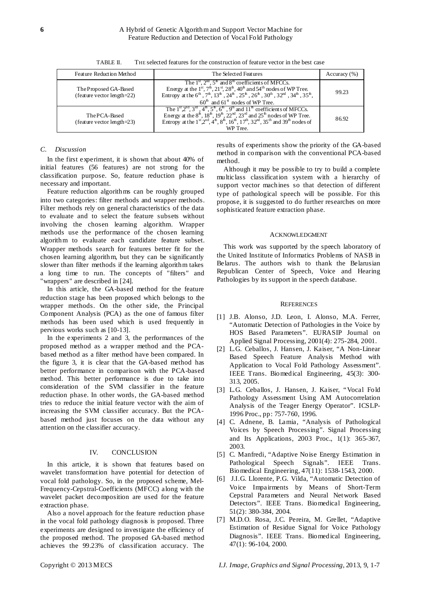| Feature Reduction Method                                | The Selected Features                                                                                                                                                                                                                                                                                                                                                                                                                                     | Accuracy $(\% )$ |
|---------------------------------------------------------|-----------------------------------------------------------------------------------------------------------------------------------------------------------------------------------------------------------------------------------------------------------------------------------------------------------------------------------------------------------------------------------------------------------------------------------------------------------|------------------|
| The Proposed GA-Based<br>(feature vector length= $22$ ) | The $1st$ , $2nd$ , $5th$ and $8th$ coefficients of MFCCs.<br>Energy at the $1^{st}$ , $7^h$ , $21^{st}$ , $28^h$ , $40^h$ and $54^h$ nodes of WP Tree.<br>Entropy at the $6^h$ , $7^h$ , $13^h$ , $24^h$ , $25^h$ , $26^h$ , $30^h$ , $32^{nd}$ , $34^h$ , $35^h$ ,<br>$60th$ and $61st$ nodes of WP Tree.                                                                                                                                               | 99.23            |
| The PCA-Based<br>(feature vector length= $23$ )         | The $1st, 2nd, 3rd, 4th, 5th, 6th$ , 9 <sup>th</sup> and 11 <sup>th</sup> coefficients of MFCCs.<br>Energy at the $8^{\text{th}}$ , $18^{\text{th}}$ , $19^{\text{th}}$ , $22^{\text{nd}}$ , $23^{\text{rd}}$ and $25^{\text{th}}$ nodes of WP Tree.<br>Entropy at the 1 <sup>st</sup> , $2^{\text{nd}}$ , $4^{\text{th}}$ , $8^{\text{th}}$ , $16^{\text{th}}$ , $17^{\text{th}}$ , $32^{\text{nd}}$ , $35^{\text{th}}$ and $39^{\text{th}}$<br>WP Tree. | 86.92            |

TABLE II. THE selected features for the construction of feature vector in the best case

# *C. Discussion*

In the first experiment, it is shown that about 40% of initial features (56 features) are not strong for the classification purpose. So, feature reduction phase is necessary and important.

Feature reduction algorithms can be roughly grouped into two categories: filter methods and wrapper methods. Filter methods rely on general characteristics of the data to evaluate and to select the feature subsets without involving the chosen learning algorithm. Wrapper methods use the performance of the chosen learning algorithm to evaluate each candidate feature subset. Wrapper methods search for features better fit for the chosen learning algorithm, but they can be significantly slower than filter methods if the learning algorithm takes a long time to run. The concepts of "filters" and "wrappers" are described in [24].

In this article, the GA-based method for the feature reduction stage has been proposed which belongs to the wrapper methods. On the other side, the Principal Component Analysis (PCA) as the one of famous filter methods has been used which is used frequently in pervious works such as [10-13].

In the experiments 2 and 3, the performances of the proposed method as a wrapper method and the PCAbased method as a filter method have been compared. In the figure 3, it is clear that the GA-based method has better performance in comparison with the PCA-based method. This better performance is due to take into consideration of the SVM classifier in the feature reduction phase. In other words, the GA-based method tries to reduce the initial feature vector with the aim of increasing the SVM classifier accuracy. But the PCAbased method just focuses on the data without any attention on the classifier accuracy.

# IV. CONCLUSION

In this article, it is shown that features based on wavelet transformation have potential for detection of vocal fold pathology. So, in the proposed scheme, Mel-Frequency-Cepstral-Coefficients (MFCC) along with the wavelet packet decomposition are used for the feature extraction phase.

Also a novel approach for the feature reduction phase in the vocal fold pathology diagnosis is proposed. Three experiments are designed to investigate the efficiency of the proposed method. The proposed GA-based method achieves the 99.23% of classification accuracy. The

results of experiments show the priority of the GA-based method in comparison with the conventional PCA-based method.

Although it may be possible to try to build a complete multiclass classification system with a hierarchy of support vector machines so that detection of different type of pathological speech will be possible. For this propose, it is suggested to do further researches on more sophisticated feature extraction phase.

# ACKNOWLEDGMENT

This work was supported by the speech laboratory of the United Institute of Informatics Problems of NASB in Belarus. The authors wish to thank the Belarusian Republican Center of Speech, Voice and Hearing Pathologies by its support in the speech database.

# **REFERENCES**

- [1] J.B. Alonso, J.D. Leon, I. Alonso, M.A. Ferrer, "Automatic Detection of Pathologies in the Voice by HOS Based Parameters". EURASIP Journal on Applied Signal Processing, 2001(4): 275-284, 2001.
- [2] L.G. Ceballos, J. Hansen, J. Kaiser, "A Non-Linear Based Speech Feature Analysis Method with Application to Vocal Fold Pathology Assessment". IEEE Trans. Biomedical Engineering, 45(3): 300- 313, 2005.
- [3] L.G. Ceballos, J. Hansen, J. Kaiser, "Vocal Fold Pathology Assessment Using AM Autocorrelation Analysis of the Teager Energy Operator". ICSLP-1996 Proc., pp: 757-760, 1996.
- [4] C. Adnene, B. Lamia, "Analysis of Pathological Voices by Speech Processing". Signal Processing and Its Applications, 2003 Proc., 1(1): 365-367, 2003.
- [5] C. Manfredi, "Adaptive Noise Energy Estimation in Pathological Speech Signals". IEEE Trans. Biomedical Engineering, 47(11): 1538-1543, 2000.
- [6] J.I.G. Llorente, P.G. Vilda, "Automatic Detection of Voice Impairments by Means of Short-Term Cepstral Parameters and Neural Network Based Detectors". IEEE Trans. Biomedical Engineering, 51(2): 380-384, 2004.
- [7] M.D.O. Rosa, J.C. Pereira, M. Grellet, "Adaptive Estimation of Residue Signal for Voice Pathology Diagnosis". IEEE Trans. Biomedical Engineering, 47(1): 96-104, 2000.